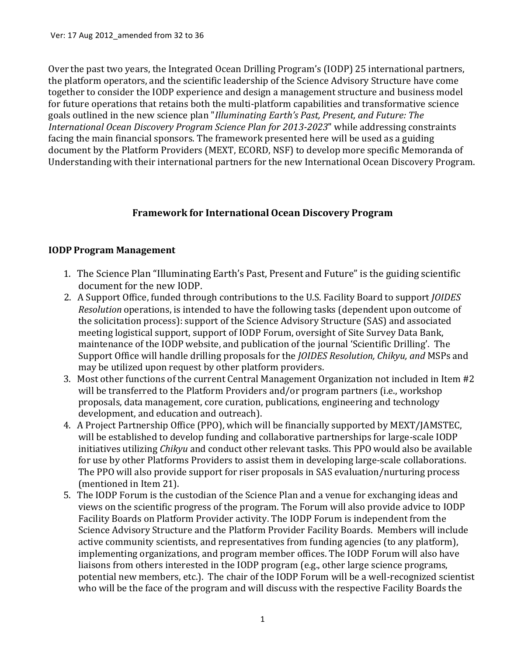Over the past two years, the Integrated Ocean Drilling Program's (IODP) 25 international partners, the platform operators, and the scientific leadership of the Science Advisory Structure have come together to consider the IODP experience and design a management structure and business model for future operations that retains both the multi-platform capabilities and transformative science goals outlined in the new science plan "*Illuminating Earth's Past, Present, and Future: The International Ocean Discovery Program Science Plan for 2013-2023*" while addressing constraints facing the main financial sponsors. The framework presented here will be used as a guiding document by the Platform Providers (MEXT, ECORD, NSF) to develop more specific Memoranda of Understanding with their international partners for the new International Ocean Discovery Program.

# **Framework for International Ocean Discovery Program**

## **IODP Program Management**

- 1. The Science Plan "Illuminating Earth's Past, Present and Future" is the guiding scientific document for the new IODP.
- 2. A Support Office, funded through contributions to the U.S. Facility Board to support *JOIDES Resolution* operations, is intended to have the following tasks (dependent upon outcome of the solicitation process): support of the Science Advisory Structure (SAS) and associated meeting logistical support, support of IODP Forum, oversight of Site Survey Data Bank, maintenance of the IODP website, and publication of the journal 'Scientific Drilling'. The Support Office will handle drilling proposals for the *JOIDES Resolution, Chikyu, and* MSPs and may be utilized upon request by other platform providers.
- 3. Most other functions of the current Central Management Organization not included in Item #2 will be transferred to the Platform Providers and/or program partners (i.e., workshop proposals, data management, core curation, publications, engineering and technology development, and education and outreach).
- 4. A Project Partnership Office (PPO), which will be financially supported by MEXT/JAMSTEC, will be established to develop funding and collaborative partnerships for large‐scale IODP initiatives utilizing *Chikyu* and conduct other relevant tasks. This PPO would also be available for use by other Platforms Providers to assist them in developing large-scale collaborations. The PPO will also provide support for riser proposals in SAS evaluation/nurturing process (mentioned in Item 21).
- 5. The IODP Forum is the custodian of the Science Plan and a venue for exchanging ideas and views on the scientific progress of the program. The Forum will also provide advice to IODP Facility Boards on Platform Provider activity. The IODP Forum is independent from the Science Advisory Structure and the Platform Provider Facility Boards. Members will include active community scientists, and representatives from funding agencies (to any platform), implementing organizations, and program member offices. The IODP Forum will also have liaisons from others interested in the IODP program (e.g., other large science programs, potential new members, etc.). The chair of the IODP Forum will be a well-recognized scientist who will be the face of the program and will discuss with the respective Facility Boards the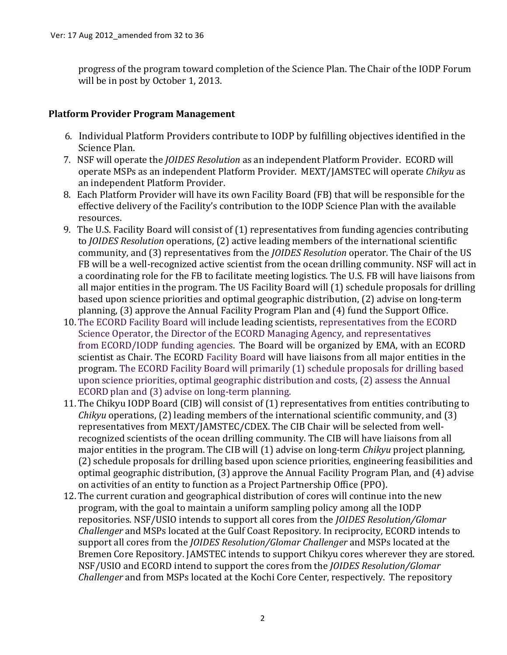progress of the program toward completion of the Science Plan. The Chair of the IODP Forum will be in post by October 1, 2013.

## **Platform Provider Program Management**

- 6. Individual Platform Providers contribute to IODP by fulfilling objectives identified in the Science Plan.
- 7. NSF will operate the *JOIDES Resolution* as an independent Platform Provider. ECORD will operate MSPs as an independent Platform Provider. MEXT/JAMSTEC will operate *Chikyu* as an independent Platform Provider.
- 8. Each Platform Provider will have its own Facility Board (FB) that will be responsible for the effective delivery of the Facility's contribution to the IODP Science Plan with the available resources.
- 9. The U.S. Facility Board will consist of (1) representatives from funding agencies contributing to *JOIDES Resolution* operations, (2) active leading members of the international scientific community, and (3) representatives from the *JOIDES Resolution* operator. The Chair of the US FB will be a well-recognized active scientist from the ocean drilling community. NSF will act in a coordinating role for the FB to facilitate meeting logistics. The U.S. FB will have liaisons from all major entities in the program. The US Facility Board will (1) schedule proposals for drilling based upon science priorities and optimal geographic distribution, (2) advise on long‐term planning, (3) approve the Annual Facility Program Plan and (4) fund the Support Office.
- 10. The ECORD Facility Board will include leading scientists, representatives from the ECORD Science Operator, the Director of the ECORD Managing Agency, and representatives from ECORD/IODP funding agencies. The Board will be organized by EMA, with an ECORD scientist as Chair. The ECORD Facility Board will have liaisons from all major entities in the program. The ECORD Facility Board will primarily (1) schedule proposals for drilling based upon science priorities, optimal geographic distribution and costs, (2) assess the Annual ECORD plan and (3) advise on long‐term planning.
- 11. The Chikyu IODP Board (CIB) will consist of (1) representatives from entities contributing to *Chikyu* operations, (2) leading members of the international scientific community, and (3) representatives from MEXT/JAMSTEC/CDEX. The CIB Chair will be selected from well‐ recognized scientists of the ocean drilling community. The CIB will have liaisons from all major entities in the program. The CIB will (1) advise on long‐term *Chikyu* project planning, (2) schedule proposals for drilling based upon science priorities, engineering feasibilities and optimal geographic distribution, (3) approve the Annual Facility Program Plan, and (4) advise on activities of an entity to function as a Project Partnership Office (PPO).
- 12. The current curation and geographical distribution of cores will continue into the new program, with the goal to maintain a uniform sampling policy among all the IODP repositories. NSF/USIO intends to support all cores from the *JOIDES Resolution/Glomar Challenger* and MSPs located at the Gulf Coast Repository. In reciprocity, ECORD intends to support all cores from the *JOIDES Resolution/Glomar Challenger* and MSPs located at the Bremen Core Repository. JAMSTEC intends to support Chikyu cores wherever they are stored. NSF/USIO and ECORD intend to support the cores from the *JOIDES Resolution/Glomar Challenger* and from MSPs located at the Kochi Core Center, respectively. The repository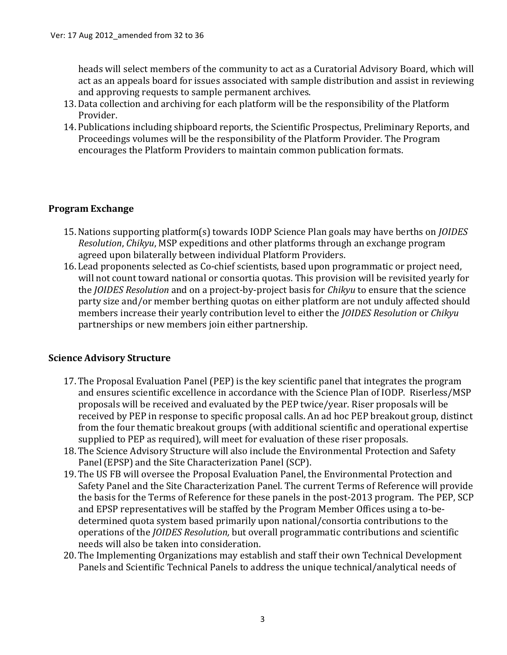heads will select members of the community to act as a Curatorial Advisory Board, which will act as an appeals board for issues associated with sample distribution and assist in reviewing and approving requests to sample permanent archives.

- 13.Data collection and archiving for each platform will be the responsibility of the Platform Provider.
- 14. Publications including shipboard reports, the Scientific Prospectus, Preliminary Reports, and Proceedings volumes will be the responsibility of the Platform Provider. The Program encourages the Platform Providers to maintain common publication formats.

## **Program Exchange**

- 15.Nations supporting platform(s) towards IODP Science Plan goals may have berths on *JOIDES Resolution*, *Chikyu*, MSP expeditions and other platforms through an exchange program agreed upon bilaterally between individual Platform Providers.
- 16. Lead proponents selected as Co‐chief scientists, based upon programmatic or project need, will not count toward national or consortia quotas. This provision will be revisited yearly for the *JOIDES Resolution* and on a project‐by‐project basis for *Chikyu* to ensure that the science party size and/or member berthing quotas on either platform are not unduly affected should members increase their yearly contribution level to either the *JOIDES Resolution* or *Chikyu*  partnerships or new members join either partnership.

#### **Science Advisory Structure**

- 17. The Proposal Evaluation Panel (PEP) is the key scientific panel that integrates the program and ensures scientific excellence in accordance with the Science Plan of IODP. Riserless/MSP proposals will be received and evaluated by the PEP twice/year. Riser proposals will be received by PEP in response to specific proposal calls. An ad hoc PEP breakout group, distinct from the four thematic breakout groups (with additional scientific and operational expertise supplied to PEP as required), will meet for evaluation of these riser proposals.
- 18. The Science Advisory Structure will also include the Environmental Protection and Safety Panel(EPSP) and the Site Characterization Panel (SCP).
- 19. The US FB will oversee the Proposal Evaluation Panel, the Environmental Protection and Safety Panel and the Site Characterization Panel. The current Terms of Reference will provide the basis for the Terms of Reference for these panels in the post‐2013 program. The PEP, SCP and EPSP representatives will be staffed by the Program Member Offices using a to‐be‐ determined quota system based primarily upon national/consortia contributions to the operations of the *JOIDES Resolution,* but overall programmatic contributions and scientific needs will also be taken into consideration.
- 20. The Implementing Organizations may establish and staff their own Technical Development Panels and Scientific Technical Panels to address the unique technical/analytical needs of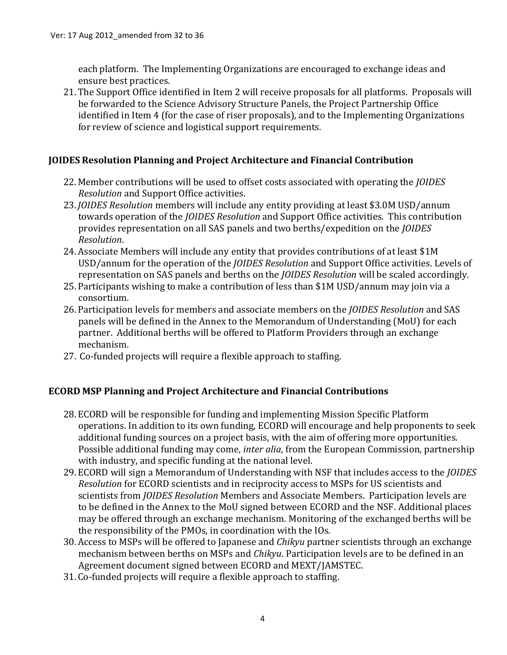each platform. The Implementing Organizations are encouraged to exchange ideas and ensure best practices.

21. The Support Office identified in Item 2 will receive proposals for all platforms. Proposals will be forwarded to the Science Advisory Structure Panels, the Project Partnership Office identified in Item 4 (for the case of riser proposals), and to the Implementing Organizations for review of science and logistical support requirements.

## **JOIDES Resolution Planning and Project Architecture and Financial Contribution**

- 22. Member contributions will be used to offset costs associated with operating the *JOIDES Resolution* and Support Office activities.
- 23. *JOIDES Resolution* members will include any entity providing at least \$3.0M USD/annum towards operation of the *JOIDES Resolution* and Support Office activities. This contribution provides representation on all SAS panels and two berths/expedition on the *JOIDES Resolution*.
- 24.Associate Members will include any entity that provides contributions of at least \$1M USD/annum for the operation of the *JOIDES Resolution* and Support Office activities. Levels of representation on SAS panels and berths on the *JOIDES Resolution* will be scaled accordingly.
- 25. Participants wishing to make a contribution of less than \$1M USD/annum may join via a consortium.
- 26. Participation levels for members and associate members on the *JOIDES Resolution* and SAS panels will be defined in the Annex to the Memorandum of Understanding (MoU) for each partner. Additional berths will be offered to Platform Providers through an exchange mechanism.
- 27. Co-funded projects will require a flexible approach to staffing.

#### **ECORD MSP Planning and Project Architecture and Financial Contributions**

- 28. ECORD will be responsible for funding and implementing Mission Specific Platform operations. In addition to its own funding, ECORD will encourage and help proponents to seek additional funding sources on a project basis, with the aim of offering more opportunities. Possible additional funding may come, *inter alia*, from the European Commission, partnership with industry, and specific funding at the national level.
- 29. ECORD will sign a Memorandum of Understanding with NSF that includes access to the *JOIDES Resolution* for ECORD scientists and in reciprocity access to MSPs for US scientists and scientists from *JOIDES Resolution* Members and Associate Members. Participation levels are to be defined in the Annex to the MoU signed between ECORD and the NSF. Additional places may be offered through an exchange mechanism. Monitoring of the exchanged berths will be the responsibility of the PMOs, in coordination with the IOs.
- 30.Access to MSPs will be offered to Japanese and *Chikyu* partner scientists through an exchange mechanism between berths on MSPs and *Chikyu*. Participation levels are to be defined in an Agreement document signed between ECORD and MEXT/JAMSTEC.
- 31. Co‐funded projects will require a flexible approach to staffing.